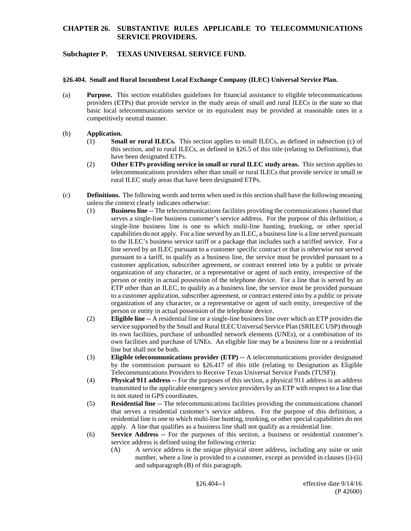# **Subchapter P. TEXAS UNIVERSAL SERVICE FUND.**

#### **§26.404. Small and Rural Incumbent Local Exchange Company (ILEC) Universal Service Plan.**

(a) **Purpose.** This section establishes guidelines for financial assistance to eligible telecommunications providers (ETPs) that provide service in the study areas of small and rural ILECs in the state so that basic local telecommunications service or its equivalent may be provided at reasonable rates in a competitively neutral manner.

#### (b) **Application.**

- (1) **Small or rural ILECs.** This section applies to small ILECs, as defined in subsection (c) of this section, and to rural ILECs, as defined in §26.5 of this title (relating to Definitions), that have been designated ETPs.
- (2) **Other ETPs providing service in small or rural ILEC study areas.** This section applies to telecommunications providers other than small or rural ILECs that provide service in small or rural ILEC study areas that have been designated ETPs.
- (c) **Definitions.** The following words and terms when used in this section shall have the following meaning unless the context clearly indicates otherwise:
	- (1) **Business line** -- The telecommunications facilities providing the communications channel that serves a single-line business customer's service address. For the purpose of this definition, a single-line business line is one to which multi-line hunting, trunking, or other special capabilities do not apply. For a line served by an ILEC, a business line is a line served pursuant to the ILEC's business service tariff or a package that includes such a tariffed service. For a line served by an ILEC pursuant to a customer specific contract or that is otherwise not served pursuant to a tariff, to qualify as a business line, the service must be provided pursuant to a customer application, subscriber agreement, or contract entered into by a public or private organization of any character, or a representative or agent of such entity, irrespective of the person or entity in actual possession of the telephone device. For a line that is served by an ETP other than an ILEC, to qualify as a business line, the service must be provided pursuant to a customer application, subscriber agreement, or contract entered into by a public or private organization of any character, or a representative or agent of such entity, irrespective of the person or entity in actual possession of the telephone device.
	- (2) **Eligible line --** A residential line or a single-line business line over which an ETP provides the service supported by the Small and Rural ILEC Universal Service Plan (SRILEC USP) through its own facilities, purchase of unbundled network elements (UNEs), or a combination of its own facilities and purchase of UNEs. An eligible line may be a business line or a residential line but shall not be both.
	- (3) **Eligible telecommunications provider (ETP) --** A telecommunications provider designated by the commission pursuant to §26.417 of this title (relating to Designation as Eligible Telecommunications Providers to Receive Texas Universal Service Funds (TUSF)).
	- (4) **Physical 911 address --** For the purposes of this section, a physical 911 address is an address transmitted to the applicable emergency service providers by an ETP with respect to a line that is not stated in GPS coordinates.
	- (5) **Residential line** -- The telecommunications facilities providing the communications channel that serves a residential customer's service address. For the purpose of this definition, a residential line is one to which multi-line hunting, trunking, or other special capabilities do not apply. A line that qualifies as a business line shall not qualify as a residential line.
	- (6) **Service Address** -- For the purposes of this section, a business or residential customer's service address is defined using the following criteria:
		- (A) A service address is the unique physical street address, including any suite or unit number, where a line is provided to a customer, except as provided in clauses (i)-(ii) and subparagraph (B) of this paragraph.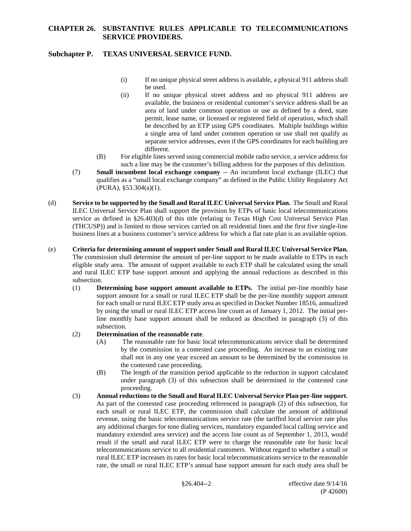# **Subchapter P. TEXAS UNIVERSAL SERVICE FUND.**

- (i) If no unique physical street address is available, a physical 911 address shall be used.
- (ii) If no unique physical street address and no physical 911 address are available, the business or residential customer's service address shall be an area of land under common operation or use as defined by a deed, state permit, lease name, or licensed or registered field of operation, which shall be described by an ETP using GPS coordinates. Multiple buildings within a single area of land under common operation or use shall not qualify as separate service addresses, even if the GPS coordinates for each building are different.
- (B) For eligible lines served using commercial mobile radio service, a service address for such a line may be the customer's billing address for the purposes of this definition.
- (7) **Small incumbent local exchange company** -- An incumbent local exchange (ILEC) that qualifies as a "small local exchange company" as defined in the Public Utility Regulatory Act (PURA), §53.304(a)(1).
- (d) **Service to be supported by the Small and Rural ILEC Universal Service Plan.** The Small and Rural ILEC Universal Service Plan shall support the provision by ETPs of basic local telecommunications service as defined in §26.403(d) of this title (relating to Texas High Cost Universal Service Plan (THCUSP)) and is limited to those services carried on all residential lines and the first five single-line business lines at a business customer's service address for which a flat rate plan is an available option.
- (e) **Criteria for determining amount of support under Small and Rural ILEC Universal Service Plan.**  The commission shall determine the amount of per-line support to be made available to ETPs in each eligible study area. The amount of support available to each ETP shall be calculated using the small and rural ILEC ETP base support amount and applying the annual reductions as described in this subsection.
	- (1) **Determining base support amount available to ETPs.** The initial per-line monthly base support amount for a small or rural ILEC ETP shall be the per-line monthly support amount for each small or rural ILEC ETP study area as specified in Docket Number 18516, annualized by using the small or rural ILEC ETP access line count as of January 1, 2012. The initial perline monthly base support amount shall be reduced as described in paragraph (3) of this subsection.
	- (2) **Determination of the reasonable rate**.
		- (A) The reasonable rate for basic local telecommunications service shall be determined by the commission in a contested case proceeding. An increase to an existing rate shall not in any one year exceed an amount to be determined by the commission in the contested case proceeding**.**
		- (B) The length of the transition period applicable to the reduction in support calculated under paragraph (3) of this subsection shall be determined in the contested case proceeding.
	- (3) **Annual reductions to the Small and Rural ILEC Universal Service Plan per-line support**. As part of the contested case proceeding referenced in paragraph (2) of this subsection, for each small or rural ILEC ETP, the commission shall calculate the amount of additional revenue, using the basic telecommunications service rate (the tariffed local service rate plus any additional charges for tone dialing services, mandatory expanded local calling service and mandatory extended area service) and the access line count as of September 1, 2013, would result if the small and rural ILEC ETP were to charge the reasonable rate for basic local telecommunications service to all residential customers. Without regard to whether a small or rural ILEC ETP increases its rates for basic local telecommunications service to the reasonable rate, the small or rural ILEC ETP's annual base support amount for each study area shall be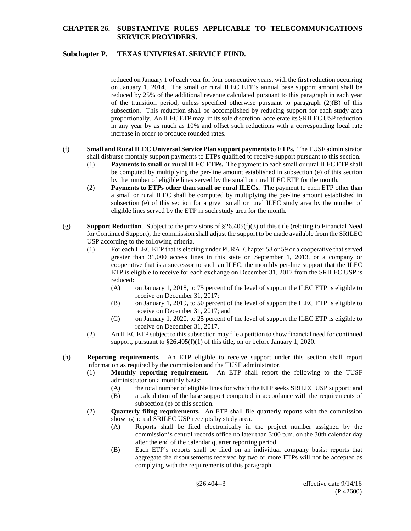# **Subchapter P. TEXAS UNIVERSAL SERVICE FUND.**

reduced on January 1 of each year for four consecutive years, with the first reduction occurring on January 1, 2014. The small or rural ILEC ETP's annual base support amount shall be reduced by 25% of the additional revenue calculated pursuant to this paragraph in each year of the transition period, unless specified otherwise pursuant to paragraph  $(2)(B)$  of this subsection. This reduction shall be accomplished by reducing support for each study area proportionally. An ILEC ETP may, in its sole discretion, accelerate its SRILEC USP reduction in any year by as much as 10% and offset such reductions with a corresponding local rate increase in order to produce rounded rates.

#### (f) **Small and Rural ILEC Universal Service Plan support payments to ETPs.** The TUSF administrator shall disburse monthly support payments to ETPs qualified to receive support pursuant to this section.

- (1) **Payments to small or rural ILEC ETPs.** The payment to each small or rural ILEC ETP shall be computed by multiplying the per-line amount established in subsection (e) of this section by the number of eligible lines served by the small or rural ILEC ETP for the month.
- (2) **Payments to ETPs other than small or rural ILECs.** The payment to each ETP other than a small or rural ILEC shall be computed by multiplying the per-line amount established in subsection (e) of this section for a given small or rural ILEC study area by the number of eligible lines served by the ETP in such study area for the month.
- (g) **Support Reduction**. Subject to the provisions of §26.405(f)(3) of this title (relating to Financial Need for Continued Support), the commission shall adjust the support to be made available from the SRILEC USP according to the following criteria.
	- (1) For each ILEC ETP that is electing under PURA, Chapter 58 or 59 or a cooperative that served greater than 31,000 access lines in this state on September 1, 2013, or a company or cooperative that is a successor to such an ILEC, the monthly per-line support that the ILEC ETP is eligible to receive for each exchange on December 31, 2017 from the SRILEC USP is reduced:
		- (A) on January 1, 2018, to 75 percent of the level of support the ILEC ETP is eligible to receive on December 31, 2017;
		- (B) on January 1, 2019, to 50 percent of the level of support the ILEC ETP is eligible to receive on December 31, 2017; and
		- (C) on January 1, 2020, to 25 percent of the level of support the ILEC ETP is eligible to receive on December 31, 2017.
	- (2) An ILEC ETP subject to thissubsection may file a petition to show financial need for continued support, pursuant to §26.405(f)(1) of this title, on or before January 1, 2020.
- (h) **Reporting requirements.** An ETP eligible to receive support under this section shall report information as required by the commission and the TUSF administrator.
	- (1) **Monthly reporting requirement.** An ETP shall report the following to the TUSF administrator on a monthly basis:
		- (A) the total number of eligible lines for which the ETP seeks SRILEC USP support; and
		- (B) a calculation of the base support computed in accordance with the requirements of subsection (e) of this section.
	- (2) **Quarterly filing requirements.** An ETP shall file quarterly reports with the commission showing actual SRILEC USP receipts by study area.
		- (A) Reports shall be filed electronically in the project number assigned by the commission's central records office no later than 3:00 p.m. on the 30th calendar day after the end of the calendar quarter reporting period.
		- (B) Each ETP's reports shall be filed on an individual company basis; reports that aggregate the disbursements received by two or more ETPs will not be accepted as complying with the requirements of this paragraph.